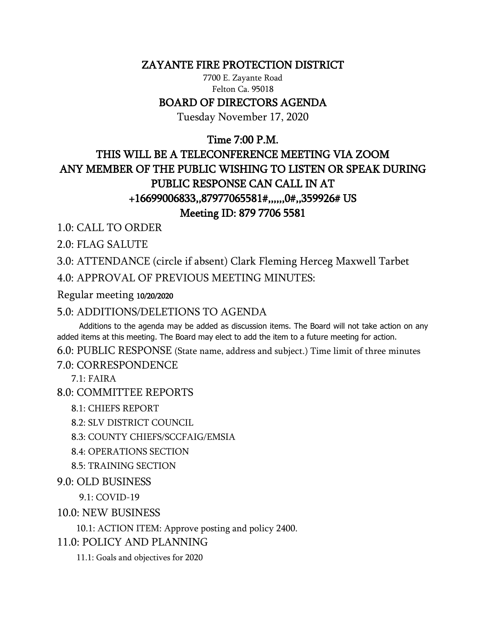### ZAYANTE FIRE PROTECTION DISTRICT

7700 E. Zayante Road Felton Ca. 95018

### BOARD OF DIRECTORS AGENDA

Tuesday November 17, 2020

## Time 7:00 P.M.

# THIS WILL BE A TELECONFERENCE MEETING VIA ZOOM ANY MEMBER OF THE PUBLIC WISHING TO LISTEN OR SPEAK DURING PUBLIC RESPONSE CAN CALL IN AT +16699006833,,87977065581#,,,,,,0#,,359926# US Meeting ID: 879 7706 5581

1.0: CALL TO ORDER

2.0: FLAG SALUTE

3.0: ATTENDANCE (circle if absent) Clark Fleming Herceg Maxwell Tarbet 4.0: APPROVAL OF PREVIOUS MEETING MINUTES:

Regular meeting 10/20/2020

### 5.0: ADDITIONS/DELETIONS TO AGENDA

 Additions to the agenda may be added as discussion items. The Board will not take action on any added items at this meeting. The Board may elect to add the item to a future meeting for action.

6.0: PUBLIC RESPONSE (State name, address and subject.) Time limit of three minutes 7.0: CORRESPONDENCE

 $7.1: FAIRA$ 

8.0: COMMITTEE REPORTS

8.1: CHIEFS REPORT

8.2: SLV DISTRICT COUNCIL

8.3: COUNTY CHIEFS/SCCFAIG/EMSIA

8.4: OPERATIONS SECTION

8.5: TRAINING SECTION

### 9.0: OLD BUSINESS

9.1: COVID-19

10.0: NEW BUSINESS

10.1: ACTION ITEM: Approve posting and policy 2400.

11.0: POLICY AND PLANNING

11.1: Goals and objectives for 2020